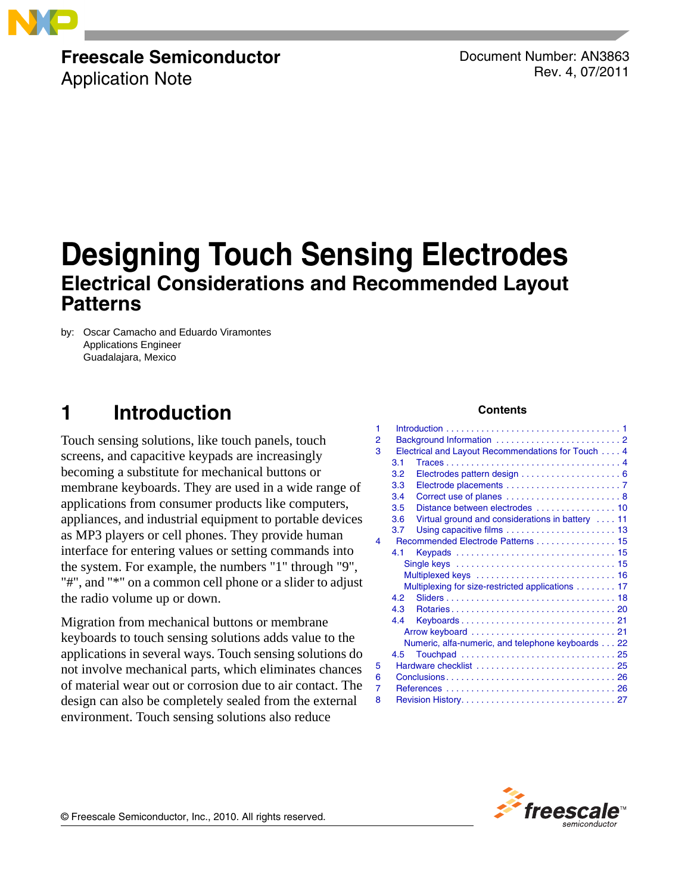

# **Freescale Semiconductor**

Application Note

Document Number: AN3863 Rev. 4, 07/2011

# **Designing Touch Sensing Electrodes Electrical Considerations and Recommended Layout Patterns**

by: Oscar Camacho and Eduardo Viramontes Applications Engineer Guadalajara, Mexico

# <span id="page-0-0"></span>**1 Introduction**

Touch sensing solutions, like touch panels, touch screens, and capacitive keypads are increasingly becoming a substitute for mechanical buttons or membrane keyboards. They are used in a wide range of applications from consumer products like computers, appliances, and industrial equipment to portable devices as MP3 players or cell phones. They provide human interface for entering values or setting commands into the system. For example, the numbers "1" through "9", "#", and "\*" on a common cell phone or a slider to adjust the radio volume up or down.

Migration from mechanical buttons or membrane keyboards to touch sensing solutions adds value to the applications in several ways. Touch sensing solutions do not involve mechanical parts, which eliminates chances of material wear out or corrosion due to air contact. The design can also be completely sealed from the external environment. Touch sensing solutions also reduce

#### **Contents**

| 1 |                                                   |                                                  |  |  |
|---|---------------------------------------------------|--------------------------------------------------|--|--|
| 2 |                                                   |                                                  |  |  |
| 3 | Electrical and Layout Recommendations for Touch 4 |                                                  |  |  |
|   | 3.1                                               |                                                  |  |  |
|   | 3.2                                               |                                                  |  |  |
|   | 3.3                                               |                                                  |  |  |
|   | 3.4                                               | Correct use of planes 8                          |  |  |
|   | 3.5                                               | Distance between electrodes  10                  |  |  |
|   | 3.6                                               | Virtual ground and considerations in battery  11 |  |  |
|   | 3.7                                               |                                                  |  |  |
| 4 |                                                   | Recommended Electrode Patterns  15               |  |  |
|   | 4.1                                               |                                                  |  |  |
|   |                                                   |                                                  |  |  |
|   |                                                   |                                                  |  |  |
|   |                                                   | Multiplexing for size-restricted applications 17 |  |  |
|   | 4.2                                               |                                                  |  |  |
|   | 4.3                                               | Rotaries20                                       |  |  |
|   | 4.4                                               |                                                  |  |  |
|   |                                                   |                                                  |  |  |
|   | Numeric, alfa-numeric, and telephone keyboards 22 |                                                  |  |  |
|   | 4.5                                               |                                                  |  |  |
| 5 |                                                   |                                                  |  |  |
| 6 |                                                   |                                                  |  |  |
| 7 |                                                   |                                                  |  |  |
| 8 |                                                   |                                                  |  |  |



© Freescale Semiconductor, Inc., 2010. All rights reserved.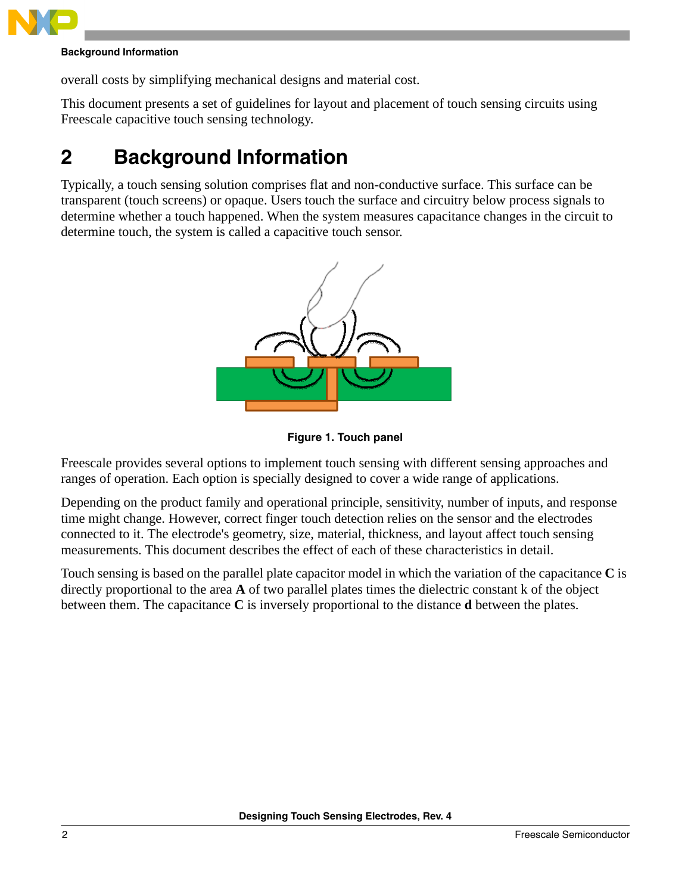

#### **Background Information**

overall costs by simplifying mechanical designs and material cost.

This document presents a set of guidelines for layout and placement of touch sensing circuits using Freescale capacitive touch sensing technology.

# <span id="page-1-0"></span>**2 Background Information**

Typically, a touch sensing solution comprises flat and non-conductive surface. This surface can be transparent (touch screens) or opaque. Users touch the surface and circuitry below process signals to determine whether a touch happened. When the system measures capacitance changes in the circuit to determine touch, the system is called a capacitive touch sensor.



**Figure 1. Touch panel** 

Freescale provides several options to implement touch sensing with different sensing approaches and ranges of operation. Each option is specially designed to cover a wide range of applications.

Depending on the product family and operational principle, sensitivity, number of inputs, and response time might change. However, correct finger touch detection relies on the sensor and the electrodes connected to it. The electrode's geometry, size, material, thickness, and layout affect touch sensing measurements. This document describes the effect of each of these characteristics in detail.

Touch sensing is based on the parallel plate capacitor model in which the variation of the capacitance **C** is directly proportional to the area **A** of two parallel plates times the dielectric constant k of the object between them. The capacitance **C** is inversely proportional to the distance **d** between the plates.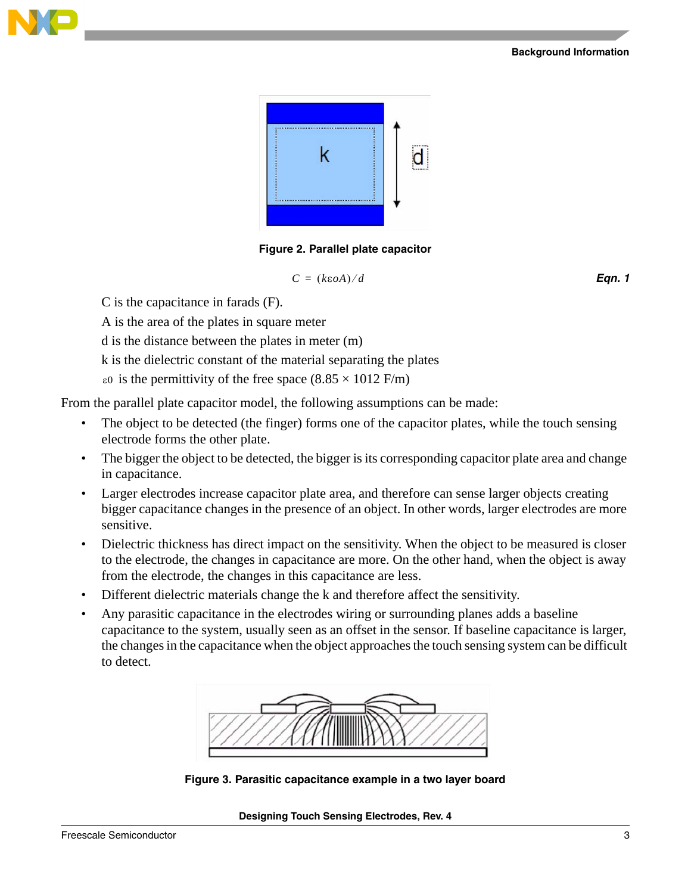#### **Background Information**





**Figure 2. Parallel plate capacitor**

$$
C = (k\epsilon oA)/d
$$
 Eqn. 1

C is the capacitance in farads (F).

A is the area of the plates in square meter

d is the distance between the plates in meter (m)

k is the dielectric constant of the material separating the plates

 $\epsilon$ <sup>0</sup> is the permittivity of the free space (8.85  $\times$  1012 F/m)

From the parallel plate capacitor model, the following assumptions can be made:

- The object to be detected (the finger) forms one of the capacitor plates, while the touch sensing electrode forms the other plate.
- The bigger the object to be detected, the bigger is its corresponding capacitor plate area and change in capacitance.
- Larger electrodes increase capacitor plate area, and therefore can sense larger objects creating bigger capacitance changes in the presence of an object. In other words, larger electrodes are more sensitive.
- Dielectric thickness has direct impact on the sensitivity. When the object to be measured is closer to the electrode, the changes in capacitance are more. On the other hand, when the object is away from the electrode, the changes in this capacitance are less.
- Different dielectric materials change the k and therefore affect the sensitivity.
- Any parasitic capacitance in the electrodes wiring or surrounding planes adds a baseline capacitance to the system, usually seen as an offset in the sensor. If baseline capacitance is larger, the changes in the capacitance when the object approaches the touch sensing system can be difficult to detect.



**Figure 3. Parasitic capacitance example in a two layer board**

**Designing Touch Sensing Electrodes, Rev. 4**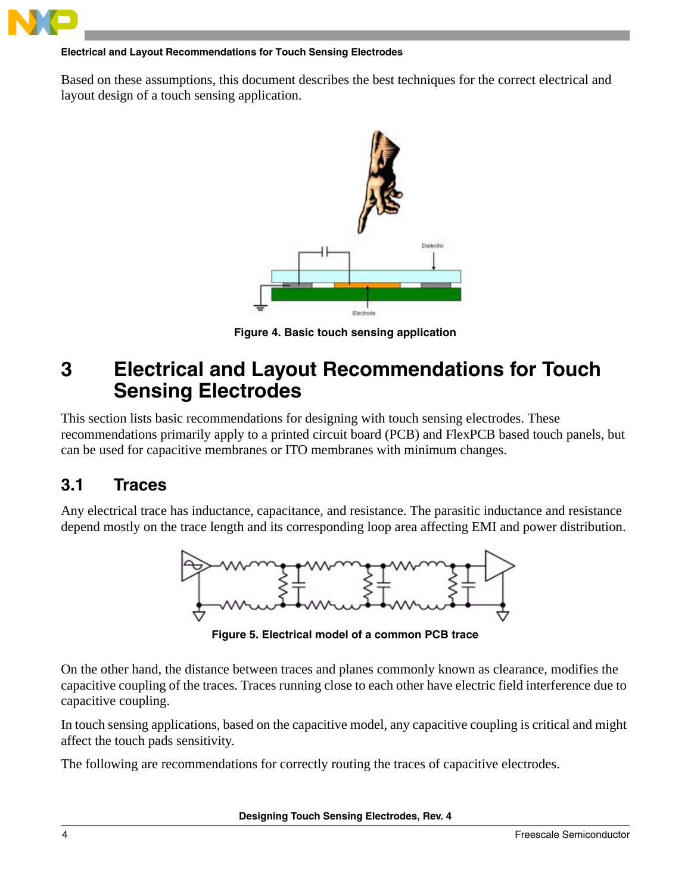

#### **Electrical and Layout Recommendations for Touch Sensing Electrodes**

Based on these assumptions, this document describes the best techniques for the correct electrical and layout design of a touch sensing application.



**Figure 4. Basic touch sensing application**

# <span id="page-3-2"></span><span id="page-3-0"></span>**3 Electrical and Layout Recommendations for Touch Sensing Electrodes**

This section lists basic recommendations for designing with touch sensing electrodes. These recommendations primarily apply to a printed circuit board (PCB) and FlexPCB based touch panels, but can be used for capacitive membranes or ITO membranes with minimum changes.

## <span id="page-3-1"></span>**3.1 Traces**

Any electrical trace has inductance, capacitance, and resistance. The parasitic inductance and resistance depend mostly on the trace length and its corresponding loop area affecting EMI and power distribution.



**Figure 5. Electrical model of a common PCB trace**

On the other hand, the distance between traces and planes commonly known as clearance, modifies the capacitive coupling of the traces. Traces running close to each other have electric field interference due to capacitive coupling.

In touch sensing applications, based on the capacitive model, any capacitive coupling is critical and might affect the touch pads sensitivity.

The following are recommendations for correctly routing the traces of capacitive electrodes.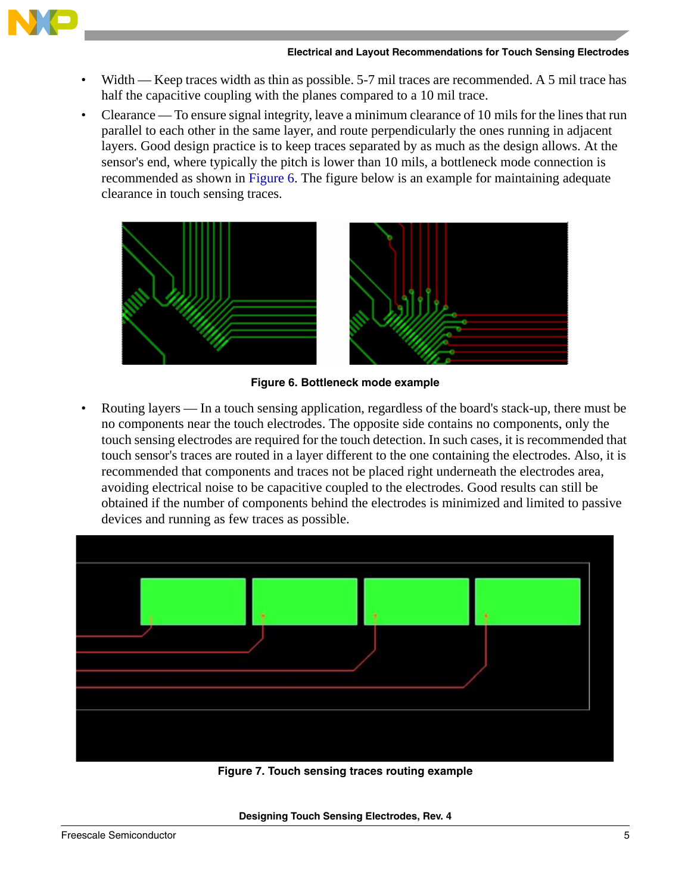

- Width Keep traces width as thin as possible. 5-7 mil traces are recommended. A 5 mil trace has half the capacitive coupling with the planes compared to a 10 mil trace.
- Clearance To ensure signal integrity, leave a minimum clearance of 10 mils for the lines that run parallel to each other in the same layer, and route perpendicularly the ones running in adjacent layers. Good design practice is to keep traces separated by as much as the design allows. At the sensor's end, where typically the pitch is lower than 10 mils, a bottleneck mode connection is recommended as shown in [Figure 6.](#page-4-0) The figure below is an example for maintaining adequate clearance in touch sensing traces.



**Figure 6. Bottleneck mode example**

<span id="page-4-0"></span>• Routing layers — In a touch sensing application, regardless of the board's stack-up, there must be no components near the touch electrodes. The opposite side contains no components, only the touch sensing electrodes are required for the touch detection. In such cases, it is recommended that touch sensor's traces are routed in a layer different to the one containing the electrodes. Also, it is recommended that components and traces not be placed right underneath the electrodes area, avoiding electrical noise to be capacitive coupled to the electrodes. Good results can still be obtained if the number of components behind the electrodes is minimized and limited to passive devices and running as few traces as possible.

![](_page_4_Figure_7.jpeg)

**Figure 7. Touch sensing traces routing example**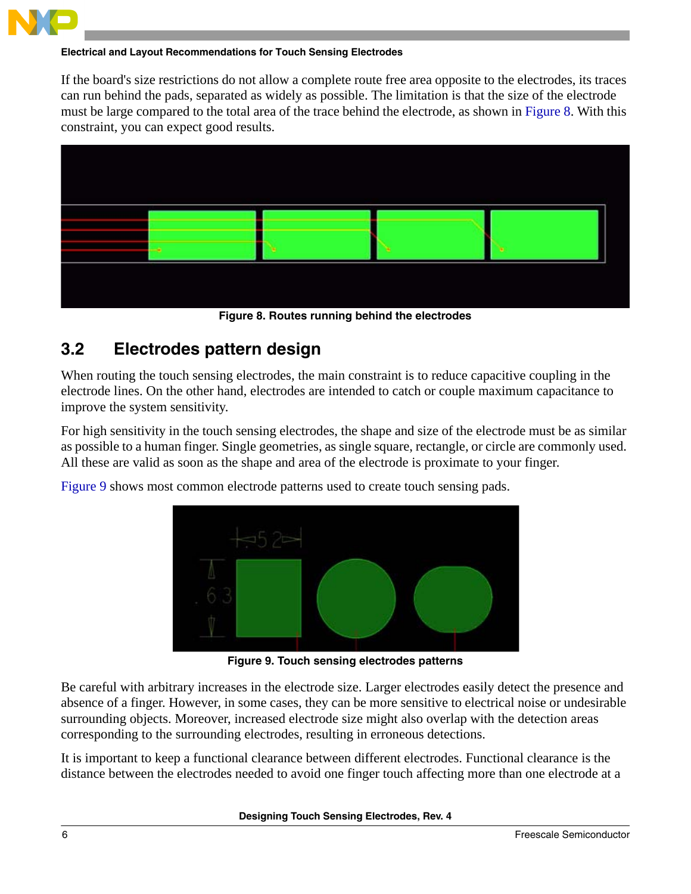![](_page_5_Picture_0.jpeg)

#### **Electrical and Layout Recommendations for Touch Sensing Electrodes**

If the board's size restrictions do not allow a complete route free area opposite to the electrodes, its traces can run behind the pads, separated as widely as possible. The limitation is that the size of the electrode must be large compared to the total area of the trace behind the electrode, as shown in [Figure 8.](#page-5-2) With this constraint, you can expect good results.

![](_page_5_Figure_3.jpeg)

**Figure 8. Routes running behind the electrodes**

# <span id="page-5-2"></span><span id="page-5-0"></span>**3.2 Electrodes pattern design**

When routing the touch sensing electrodes, the main constraint is to reduce capacitive coupling in the electrode lines. On the other hand, electrodes are intended to catch or couple maximum capacitance to improve the system sensitivity.

For high sensitivity in the touch sensing electrodes, the shape and size of the electrode must be as similar as possible to a human finger. Single geometries, as single square, rectangle, or circle are commonly used. All these are valid as soon as the shape and area of the electrode is proximate to your finger.

[Figure 9](#page-5-1) shows most common electrode patterns used to create touch sensing pads.

![](_page_5_Picture_9.jpeg)

**Figure 9. Touch sensing electrodes patterns**

<span id="page-5-1"></span>Be careful with arbitrary increases in the electrode size. Larger electrodes easily detect the presence and absence of a finger. However, in some cases, they can be more sensitive to electrical noise or undesirable surrounding objects. Moreover, increased electrode size might also overlap with the detection areas corresponding to the surrounding electrodes, resulting in erroneous detections.

It is important to keep a functional clearance between different electrodes. Functional clearance is the distance between the electrodes needed to avoid one finger touch affecting more than one electrode at a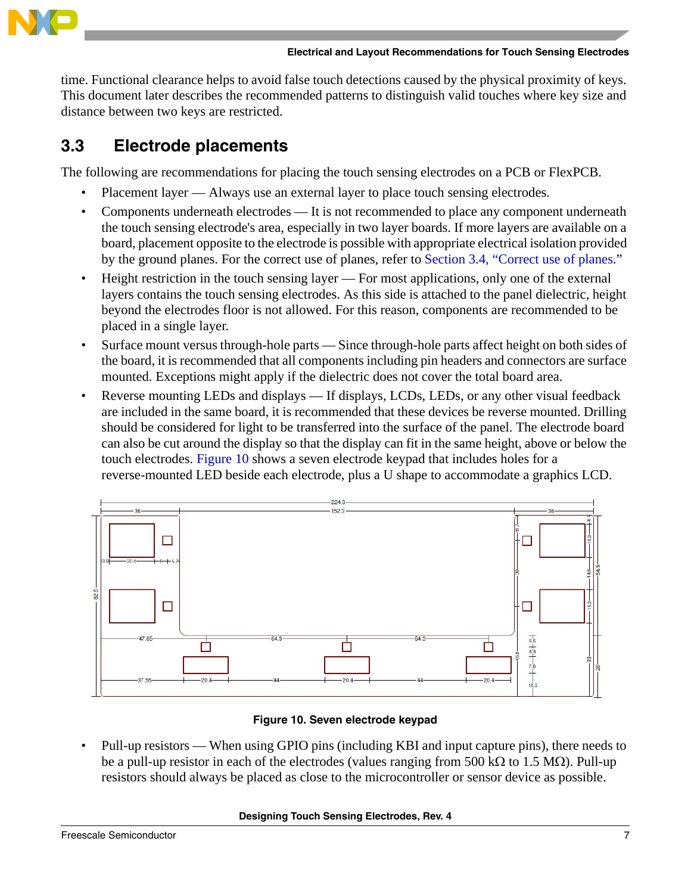![](_page_6_Picture_0.jpeg)

time. Functional clearance helps to avoid false touch detections caused by the physical proximity of keys. This document later describes the recommended patterns to distinguish valid touches where key size and distance between two keys are restricted.

# <span id="page-6-0"></span>**3.3 Electrode placements**

The following are recommendations for placing the touch sensing electrodes on a PCB or FlexPCB.

- Placement layer Always use an external layer to place touch sensing electrodes.
- Components underneath electrodes It is not recommended to place any component underneath the touch sensing electrode's area, especially in two layer boards. If more layers are available on a board, placement opposite to the electrode is possible with appropriate electrical isolation provided by the ground planes. For the correct use of planes, refer to [Section 3.4, "Correct use of planes](#page-7-0)."
- Height restriction in the touch sensing layer For most applications, only one of the external layers contains the touch sensing electrodes. As this side is attached to the panel dielectric, height beyond the electrodes floor is not allowed. For this reason, components are recommended to be placed in a single layer.
- Surface mount versus through-hole parts Since through-hole parts affect height on both sides of the board, it is recommended that all components including pin headers and connectors are surface mounted. Exceptions might apply if the dielectric does not cover the total board area.
- Reverse mounting LEDs and displays If displays, LCDs, LEDs, or any other visual feedback are included in the same board, it is recommended that these devices be reverse mounted. Drilling should be considered for light to be transferred into the surface of the panel. The electrode board can also be cut around the display so that the display can fit in the same height, above or below the touch electrodes. [Figure 10](#page-6-1) shows a seven electrode keypad that includes holes for a reverse-mounted LED beside each electrode, plus a U shape to accommodate a graphics LCD.

![](_page_6_Figure_10.jpeg)

### **Figure 10. Seven electrode keypad**

<span id="page-6-1"></span>• Pull-up resistors — When using GPIO pins (including KBI and input capture pins), there needs to be a pull-up resistor in each of the electrodes (values ranging from 500 k $\Omega$  to 1.5 M $\Omega$ ). Pull-up resistors should always be placed as close to the microcontroller or sensor device as possible.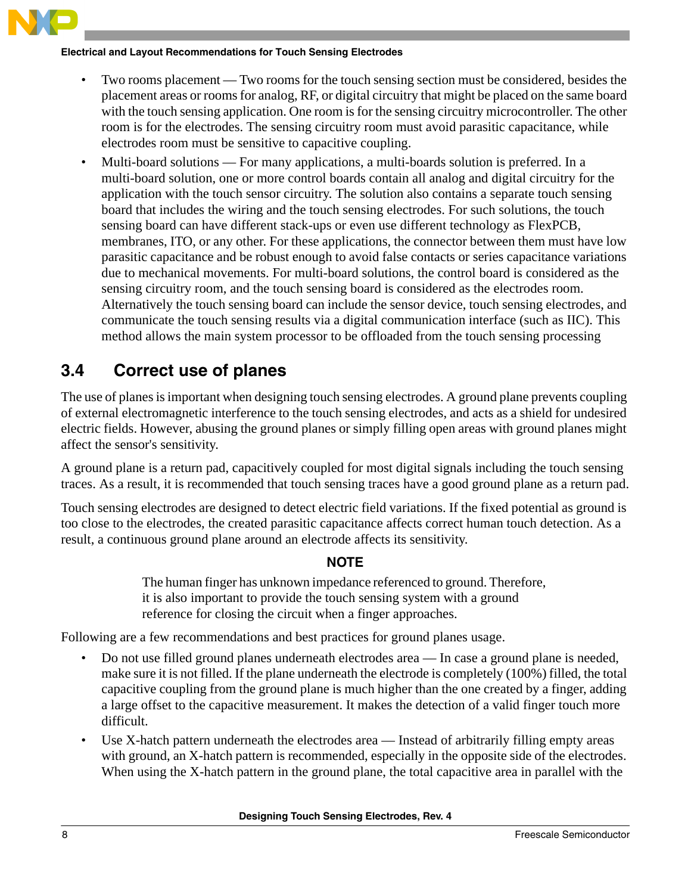![](_page_7_Picture_0.jpeg)

#### **Electrical and Layout Recommendations for Touch Sensing Electrodes**

- Two rooms placement Two rooms for the touch sensing section must be considered, besides the placement areas or rooms for analog, RF, or digital circuitry that might be placed on the same board with the touch sensing application. One room is for the sensing circuitry microcontroller. The other room is for the electrodes. The sensing circuitry room must avoid parasitic capacitance, while electrodes room must be sensitive to capacitive coupling.
- Multi-board solutions For many applications, a multi-boards solution is preferred. In a multi-board solution, one or more control boards contain all analog and digital circuitry for the application with the touch sensor circuitry. The solution also contains a separate touch sensing board that includes the wiring and the touch sensing electrodes. For such solutions, the touch sensing board can have different stack-ups or even use different technology as FlexPCB, membranes, ITO, or any other. For these applications, the connector between them must have low parasitic capacitance and be robust enough to avoid false contacts or series capacitance variations due to mechanical movements. For multi-board solutions, the control board is considered as the sensing circuitry room, and the touch sensing board is considered as the electrodes room. Alternatively the touch sensing board can include the sensor device, touch sensing electrodes, and communicate the touch sensing results via a digital communication interface (such as IIC). This method allows the main system processor to be offloaded from the touch sensing processing

# <span id="page-7-0"></span>**3.4 Correct use of planes**

The use of planes is important when designing touch sensing electrodes. A ground plane prevents coupling of external electromagnetic interference to the touch sensing electrodes, and acts as a shield for undesired electric fields. However, abusing the ground planes or simply filling open areas with ground planes might affect the sensor's sensitivity.

A ground plane is a return pad, capacitively coupled for most digital signals including the touch sensing traces. As a result, it is recommended that touch sensing traces have a good ground plane as a return pad.

Touch sensing electrodes are designed to detect electric field variations. If the fixed potential as ground is too close to the electrodes, the created parasitic capacitance affects correct human touch detection. As a result, a continuous ground plane around an electrode affects its sensitivity.

### **NOTE**

The human finger has unknown impedance referenced to ground. Therefore, it is also important to provide the touch sensing system with a ground reference for closing the circuit when a finger approaches.

Following are a few recommendations and best practices for ground planes usage.

- Do not use filled ground planes underneath electrodes area In case a ground plane is needed, make sure it is not filled. If the plane underneath the electrode is completely (100%) filled, the total capacitive coupling from the ground plane is much higher than the one created by a finger, adding a large offset to the capacitive measurement. It makes the detection of a valid finger touch more difficult.
- Use X-hatch pattern underneath the electrodes area Instead of arbitrarily filling empty areas with ground, an X-hatch pattern is recommended, especially in the opposite side of the electrodes. When using the X-hatch pattern in the ground plane, the total capacitive area in parallel with the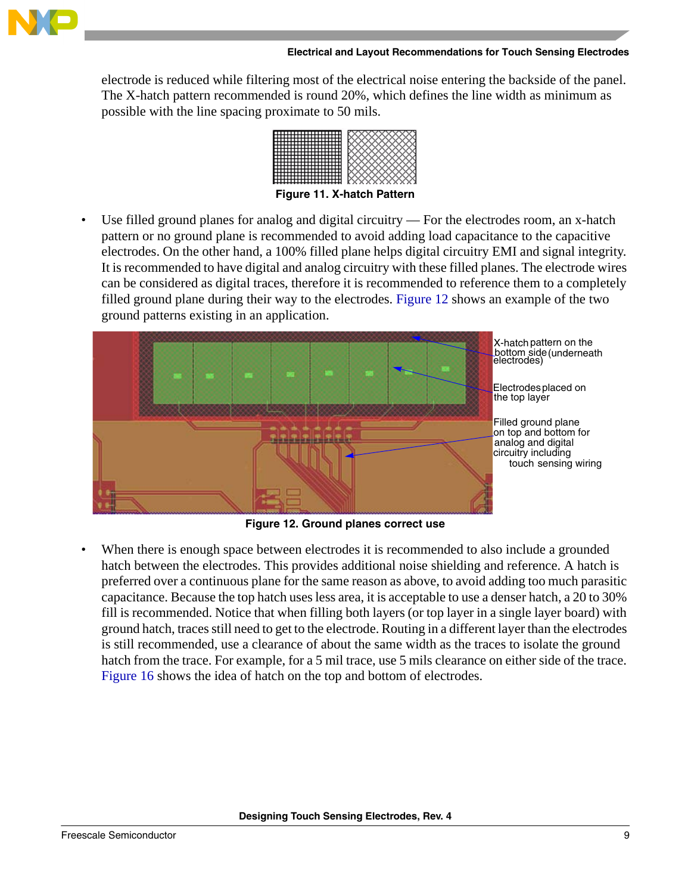![](_page_8_Picture_0.jpeg)

#### **Electrical and Layout Recommendations for Touch Sensing Electrodes**

electrode is reduced while filtering most of the electrical noise entering the backside of the panel. The X-hatch pattern recommended is round 20%, which defines the line width as minimum as possible with the line spacing proximate to 50 mils.

![](_page_8_Figure_3.jpeg)

**Figure 11. X-hatch Pattern** 

• Use filled ground planes for analog and digital circuitry — For the electrodes room, an x-hatch pattern or no ground plane is recommended to avoid adding load capacitance to the capacitive electrodes. On the other hand, a 100% filled plane helps digital circuitry EMI and signal integrity. It is recommended to have digital and analog circuitry with these filled planes. The electrode wires can be considered as digital traces, therefore it is recommended to reference them to a completely filled ground plane during their way to the electrodes. [Figure 12](#page-8-0) shows an example of the two ground patterns existing in an application.

![](_page_8_Picture_6.jpeg)

**Figure 12. Ground planes correct use**

<span id="page-8-0"></span>When there is enough space between electrodes it is recommended to also include a grounded hatch between the electrodes. This provides additional noise shielding and reference. A hatch is preferred over a continuous plane for the same reason as above, to avoid adding too much parasitic capacitance. Because the top hatch uses less area, it is acceptable to use a denser hatch, a 20 to 30% fill is recommended. Notice that when filling both layers (or top layer in a single layer board) with ground hatch, traces still need to get to the electrode. Routing in a different layer than the electrodes is still recommended, use a clearance of about the same width as the traces to isolate the ground hatch from the trace. For example, for a 5 mil trace, use 5 mils clearance on either side of the trace. [Figure 16](#page-11-0) shows the idea of hatch on the top and bottom of electrodes.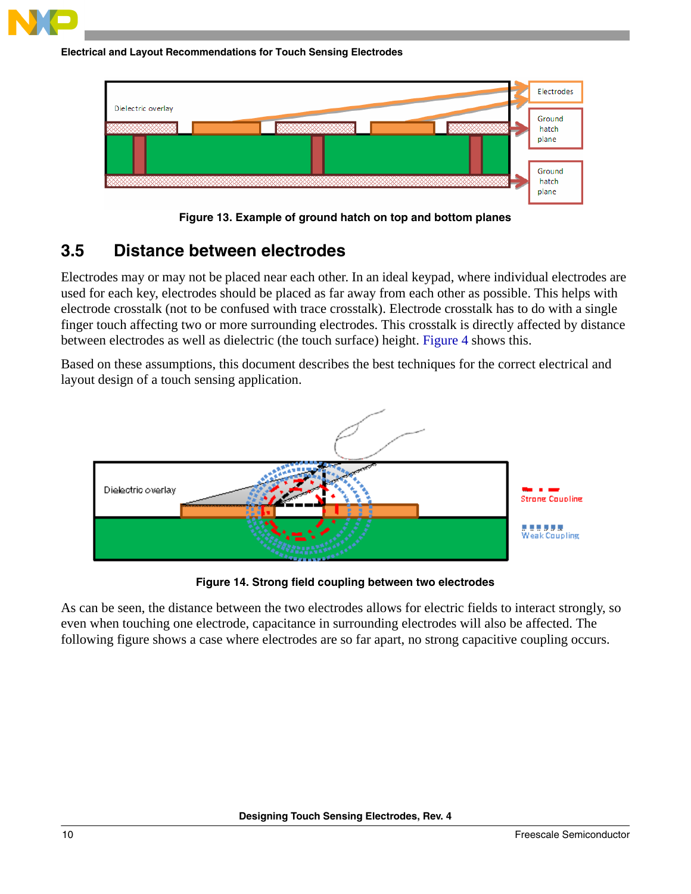![](_page_9_Picture_0.jpeg)

![](_page_9_Figure_1.jpeg)

![](_page_9_Figure_2.jpeg)

**Figure 13. Example of ground hatch on top and bottom planes**

## <span id="page-9-0"></span>**3.5 Distance between electrodes**

Electrodes may or may not be placed near each other. In an ideal keypad, where individual electrodes are used for each key, electrodes should be placed as far away from each other as possible. This helps with electrode crosstalk (not to be confused with trace crosstalk). Electrode crosstalk has to do with a single finger touch affecting two or more surrounding electrodes. This crosstalk is directly affected by distance between electrodes as well as dielectric (the touch surface) height. [Figure 4](#page-3-2) shows this.

Based on these assumptions, this document describes the best techniques for the correct electrical and layout design of a touch sensing application.

![](_page_9_Figure_7.jpeg)

**Figure 14. Strong field coupling between two electrodes** 

As can be seen, the distance between the two electrodes allows for electric fields to interact strongly, so even when touching one electrode, capacitance in surrounding electrodes will also be affected. The following figure shows a case where electrodes are so far apart, no strong capacitive coupling occurs.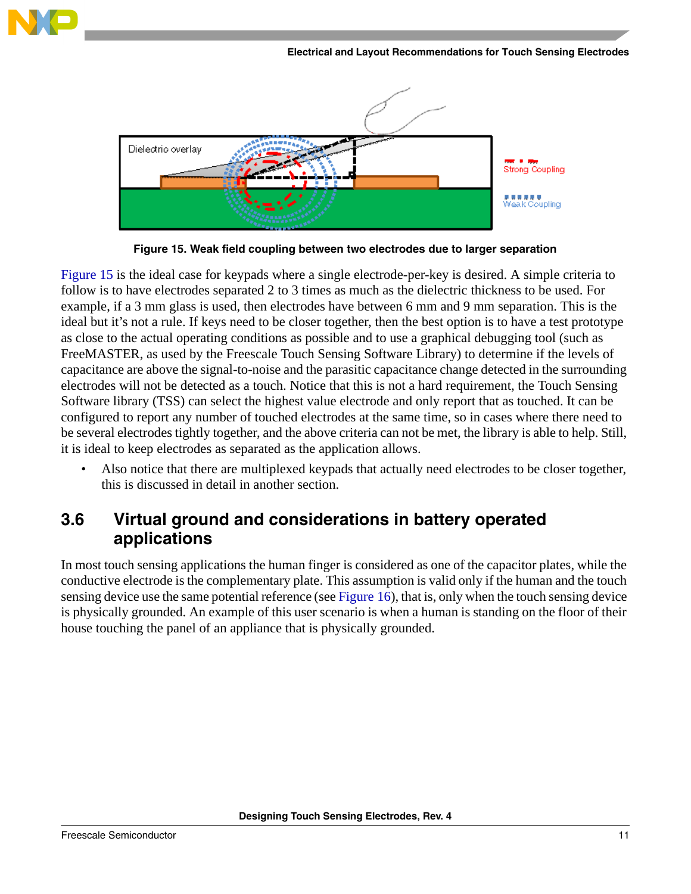**Electrical and Layout Recommendations for Touch Sensing Electrodes**

![](_page_10_Figure_1.jpeg)

**Figure 15. Weak field coupling between two electrodes due to larger separation** 

<span id="page-10-1"></span>[Figure 15](#page-10-1) is the ideal case for keypads where a single electrode-per-key is desired. A simple criteria to follow is to have electrodes separated 2 to 3 times as much as the dielectric thickness to be used. For example, if a 3 mm glass is used, then electrodes have between 6 mm and 9 mm separation. This is the ideal but it's not a rule. If keys need to be closer together, then the best option is to have a test prototype as close to the actual operating conditions as possible and to use a graphical debugging tool (such as FreeMASTER, as used by the Freescale Touch Sensing Software Library) to determine if the levels of capacitance are above the signal-to-noise and the parasitic capacitance change detected in the surrounding electrodes will not be detected as a touch. Notice that this is not a hard requirement, the Touch Sensing Software library (TSS) can select the highest value electrode and only report that as touched. It can be configured to report any number of touched electrodes at the same time, so in cases where there need to be several electrodes tightly together, and the above criteria can not be met, the library is able to help. Still, it is ideal to keep electrodes as separated as the application allows.

Also notice that there are multiplexed keypads that actually need electrodes to be closer together, this is discussed in detail in another section.

## <span id="page-10-0"></span>**3.6 Virtual ground and considerations in battery operated applications**

In most touch sensing applications the human finger is considered as one of the capacitor plates, while the conductive electrode is the complementary plate. This assumption is valid only if the human and the touch sensing device use the same potential reference (see [Figure 16](#page-11-0)), that is, only when the touch sensing device is physically grounded. An example of this user scenario is when a human is standing on the floor of their house touching the panel of an appliance that is physically grounded.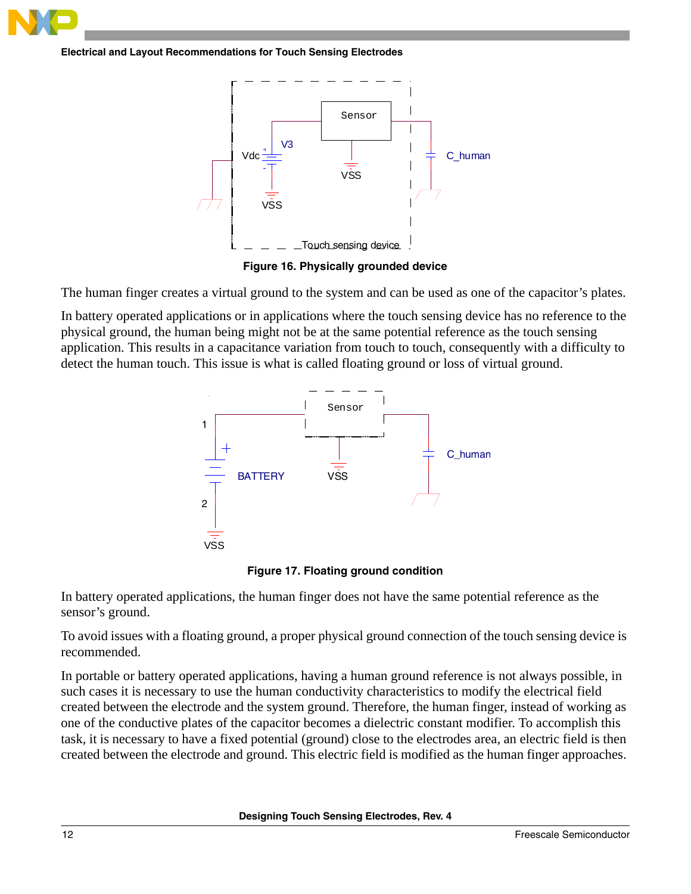![](_page_11_Picture_0.jpeg)

**Electrical and Layout Recommendations for Touch Sensing Electrodes**

![](_page_11_Figure_2.jpeg)

**Figure 16. Physically grounded device**

<span id="page-11-0"></span>The human finger creates a virtual ground to the system and can be used as one of the capacitor's plates.

In battery operated applications or in applications where the touch sensing device has no reference to the physical ground, the human being might not be at the same potential reference as the touch sensing application. This results in a capacitance variation from touch to touch, consequently with a difficulty to detect the human touch. This issue is what is called floating ground or loss of virtual ground.

![](_page_11_Figure_6.jpeg)

**Figure 17. Floating ground condition**

In battery operated applications, the human finger does not have the same potential reference as the sensor's ground.

To avoid issues with a floating ground, a proper physical ground connection of the touch sensing device is recommended.

In portable or battery operated applications, having a human ground reference is not always possible, in such cases it is necessary to use the human conductivity characteristics to modify the electrical field created between the electrode and the system ground. Therefore, the human finger, instead of working as one of the conductive plates of the capacitor becomes a dielectric constant modifier. To accomplish this task, it is necessary to have a fixed potential (ground) close to the electrodes area, an electric field is then created between the electrode and ground. This electric field is modified as the human finger approaches.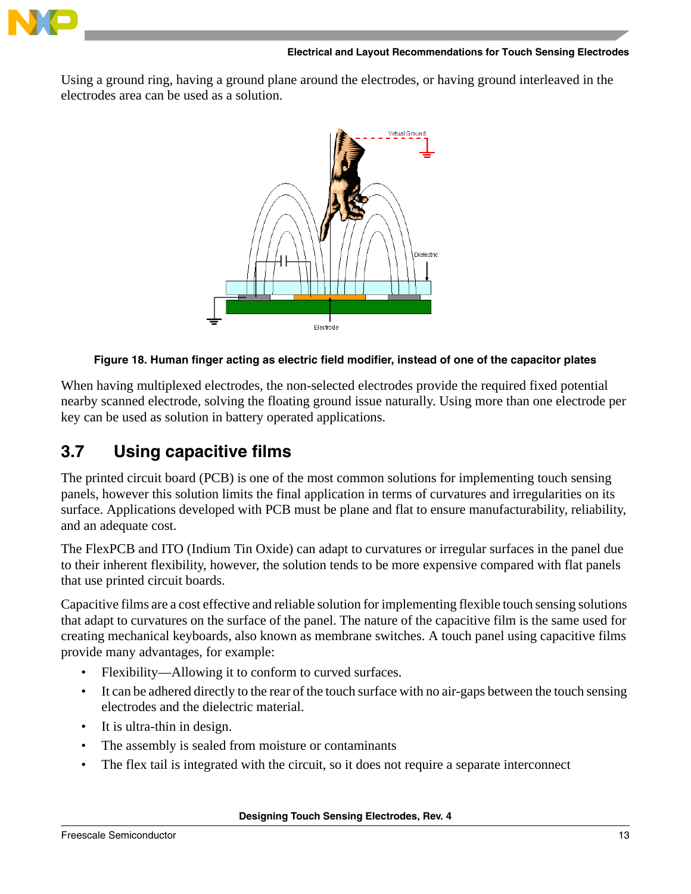![](_page_12_Picture_0.jpeg)

Using a ground ring, having a ground plane around the electrodes, or having ground interleaved in the electrodes area can be used as a solution.

![](_page_12_Picture_3.jpeg)

#### **Figure 18. Human finger acting as electric field modifier, instead of one of the capacitor plates**

When having multiplexed electrodes, the non-selected electrodes provide the required fixed potential nearby scanned electrode, solving the floating ground issue naturally. Using more than one electrode per key can be used as solution in battery operated applications.

## <span id="page-12-0"></span>**3.7 Using capacitive films**

The printed circuit board (PCB) is one of the most common solutions for implementing touch sensing panels, however this solution limits the final application in terms of curvatures and irregularities on its surface. Applications developed with PCB must be plane and flat to ensure manufacturability, reliability, and an adequate cost.

The FlexPCB and ITO (Indium Tin Oxide) can adapt to curvatures or irregular surfaces in the panel due to their inherent flexibility, however, the solution tends to be more expensive compared with flat panels that use printed circuit boards.

Capacitive films are a cost effective and reliable solution for implementing flexible touch sensing solutions that adapt to curvatures on the surface of the panel. The nature of the capacitive film is the same used for creating mechanical keyboards, also known as membrane switches. A touch panel using capacitive films provide many advantages, for example:

- Flexibility—Allowing it to conform to curved surfaces.
- It can be adhered directly to the rear of the touch surface with no air-gaps between the touch sensing electrodes and the dielectric material.
- It is ultra-thin in design.
- The assembly is sealed from moisture or contaminants
- The flex tail is integrated with the circuit, so it does not require a separate interconnect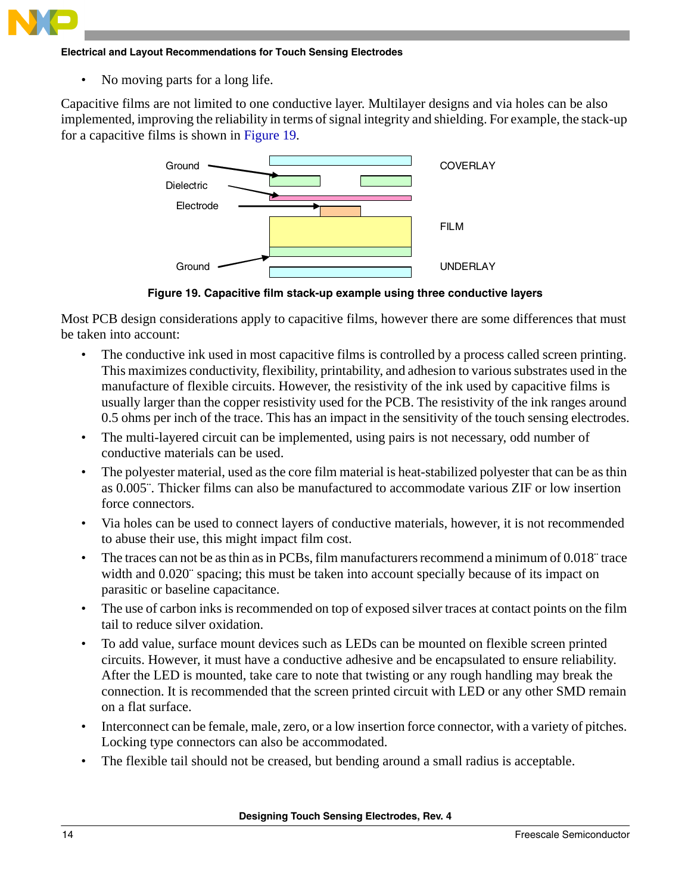![](_page_13_Picture_0.jpeg)

#### **Electrical and Layout Recommendations for Touch Sensing Electrodes**

• No moving parts for a long life.

Capacitive films are not limited to one conductive layer. Multilayer designs and via holes can be also implemented, improving the reliability in terms of signal integrity and shielding. For example, the stack-up for a capacitive films is shown in [Figure 19](#page-13-0).

![](_page_13_Figure_4.jpeg)

**Figure 19. Capacitive film stack-up example using three conductive layers**

<span id="page-13-0"></span>Most PCB design considerations apply to capacitive films, however there are some differences that must be taken into account:

- The conductive ink used in most capacitive films is controlled by a process called screen printing. This maximizes conductivity, flexibility, printability, and adhesion to various substrates used in the manufacture of flexible circuits. However, the resistivity of the ink used by capacitive films is usually larger than the copper resistivity used for the PCB. The resistivity of the ink ranges around 0.5 ohms per inch of the trace. This has an impact in the sensitivity of the touch sensing electrodes.
- The multi-layered circuit can be implemented, using pairs is not necessary, odd number of conductive materials can be used.
- The polyester material, used as the core film material is heat-stabilized polyester that can be as thin as 0.005¨. Thicker films can also be manufactured to accommodate various ZIF or low insertion force connectors.
- Via holes can be used to connect layers of conductive materials, however, it is not recommended to abuse their use, this might impact film cost.
- The traces can not be as thin as in PCBs, film manufacturers recommend a minimum of 0.018¨ trace width and  $0.020$  spacing; this must be taken into account specially because of its impact on parasitic or baseline capacitance.
- The use of carbon inks is recommended on top of exposed silver traces at contact points on the film tail to reduce silver oxidation.
- To add value, surface mount devices such as LEDs can be mounted on flexible screen printed circuits. However, it must have a conductive adhesive and be encapsulated to ensure reliability. After the LED is mounted, take care to note that twisting or any rough handling may break the connection. It is recommended that the screen printed circuit with LED or any other SMD remain on a flat surface.
- Interconnect can be female, male, zero, or a low insertion force connector, with a variety of pitches. Locking type connectors can also be accommodated.
- The flexible tail should not be creased, but bending around a small radius is acceptable.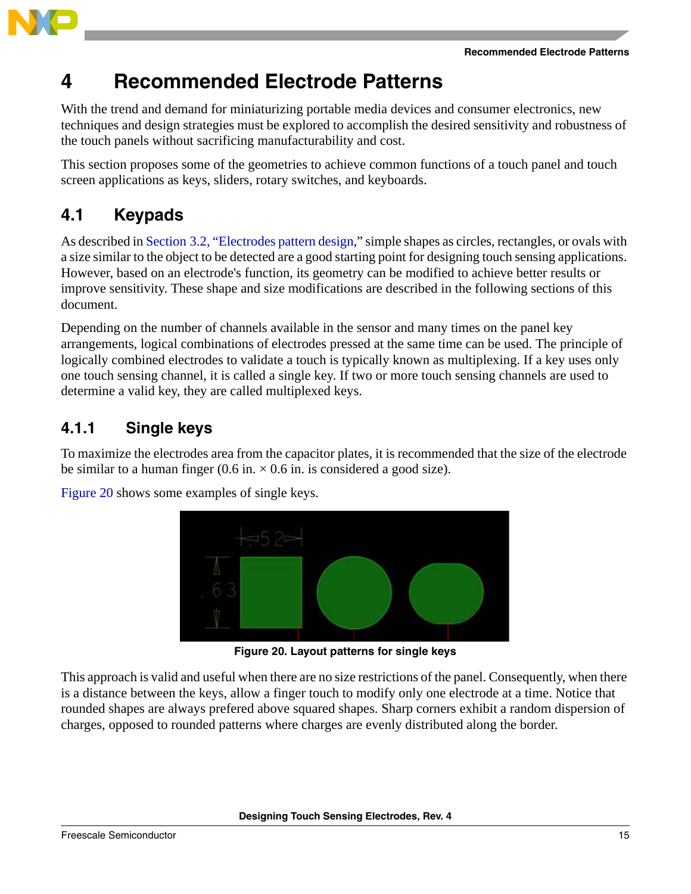![](_page_14_Picture_1.jpeg)

<span id="page-14-0"></span>With the trend and demand for miniaturizing portable media devices and consumer electronics, new techniques and design strategies must be explored to accomplish the desired sensitivity and robustness of the touch panels without sacrificing manufacturability and cost.

This section proposes some of the geometries to achieve common functions of a touch panel and touch screen applications as keys, sliders, rotary switches, and keyboards.

# <span id="page-14-1"></span>**4.1 Keypads**

As described in [Section 3.2, "Electrodes pattern design](#page-5-0)," simple shapes as circles, rectangles, or ovals with a size similar to the object to be detected are a good starting point for designing touch sensing applications. However, based on an electrode's function, its geometry can be modified to achieve better results or improve sensitivity. These shape and size modifications are described in the following sections of this document.

Depending on the number of channels available in the sensor and many times on the panel key arrangements, logical combinations of electrodes pressed at the same time can be used. The principle of logically combined electrodes to validate a touch is typically known as multiplexing. If a key uses only one touch sensing channel, it is called a single key. If two or more touch sensing channels are used to determine a valid key, they are called multiplexed keys.

# <span id="page-14-2"></span>**4.1.1 Single keys**

To maximize the electrodes area from the capacitor plates, it is recommended that the size of the electrode be similar to a human finger (0.6 in.  $\times$  0.6 in. is considered a good size).

![](_page_14_Picture_10.jpeg)

[Figure 20](#page-14-3) shows some examples of single keys.

**Figure 20. Layout patterns for single keys**

<span id="page-14-3"></span>This approach is valid and useful when there are no size restrictions of the panel. Consequently, when there is a distance between the keys, allow a finger touch to modify only one electrode at a time. Notice that rounded shapes are always prefered above squared shapes. Sharp corners exhibit a random dispersion of charges, opposed to rounded patterns where charges are evenly distributed along the border.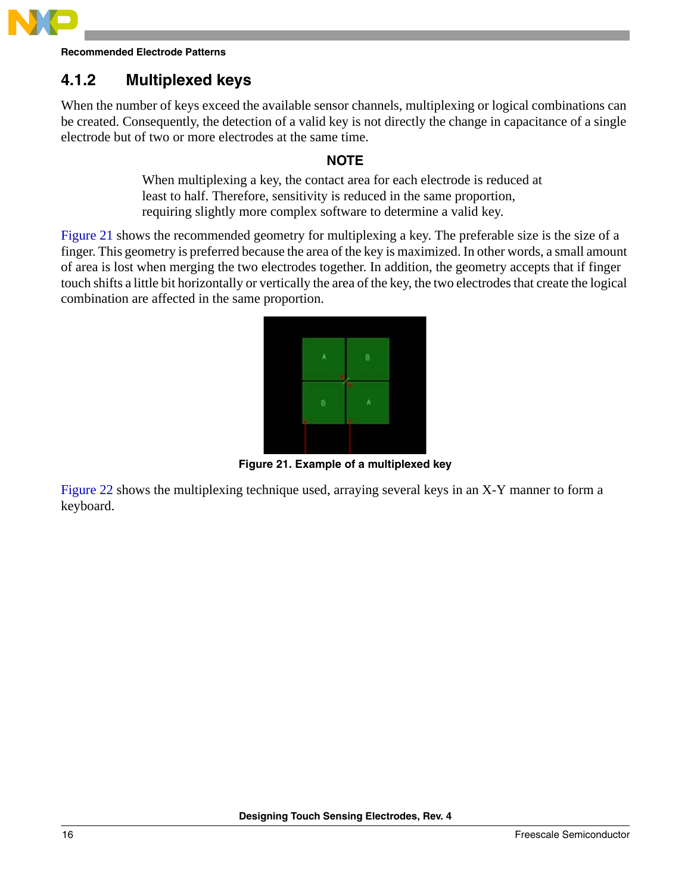![](_page_15_Picture_0.jpeg)

# <span id="page-15-0"></span>**4.1.2 Multiplexed keys**

When the number of keys exceed the available sensor channels, multiplexing or logical combinations can be created. Consequently, the detection of a valid key is not directly the change in capacitance of a single electrode but of two or more electrodes at the same time.

### **NOTE**

When multiplexing a key, the contact area for each electrode is reduced at least to half. Therefore, sensitivity is reduced in the same proportion, requiring slightly more complex software to determine a valid key.

[Figure 21](#page-15-1) shows the recommended geometry for multiplexing a key. The preferable size is the size of a finger. This geometry is preferred because the area of the key is maximized. In other words, a small amount of area is lost when merging the two electrodes together. In addition, the geometry accepts that if finger touch shifts a little bit horizontally or vertically the area of the key, the two electrodes that create the logical combination are affected in the same proportion.

![](_page_15_Picture_7.jpeg)

**Figure 21. Example of a multiplexed key**

<span id="page-15-1"></span>[Figure 22](#page-16-1) shows the multiplexing technique used, arraying several keys in an X-Y manner to form a keyboard.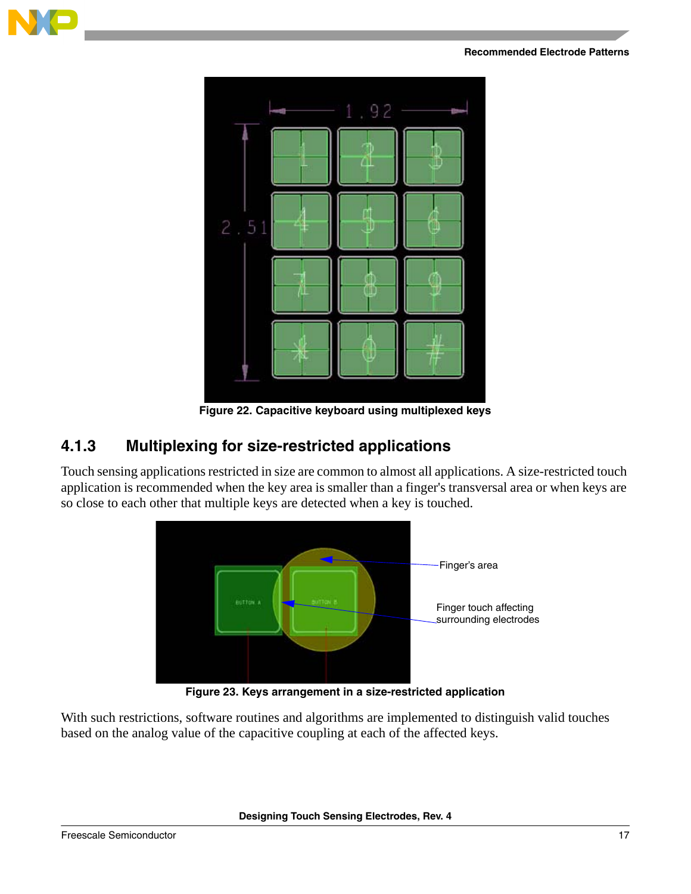![](_page_16_Picture_1.jpeg)

![](_page_16_Figure_2.jpeg)

**Figure 22. Capacitive keyboard using multiplexed keys**

## <span id="page-16-1"></span><span id="page-16-0"></span>**4.1.3 Multiplexing for size-restricted applications**

Touch sensing applications restricted in size are common to almost all applications. A size-restricted touch application is recommended when the key area is smaller than a finger's transversal area or when keys are so close to each other that multiple keys are detected when a key is touched.

![](_page_16_Figure_6.jpeg)

**Figure 23. Keys arrangement in a size-restricted application**

<span id="page-16-2"></span>With such restrictions, software routines and algorithms are implemented to distinguish valid touches based on the analog value of the capacitive coupling at each of the affected keys.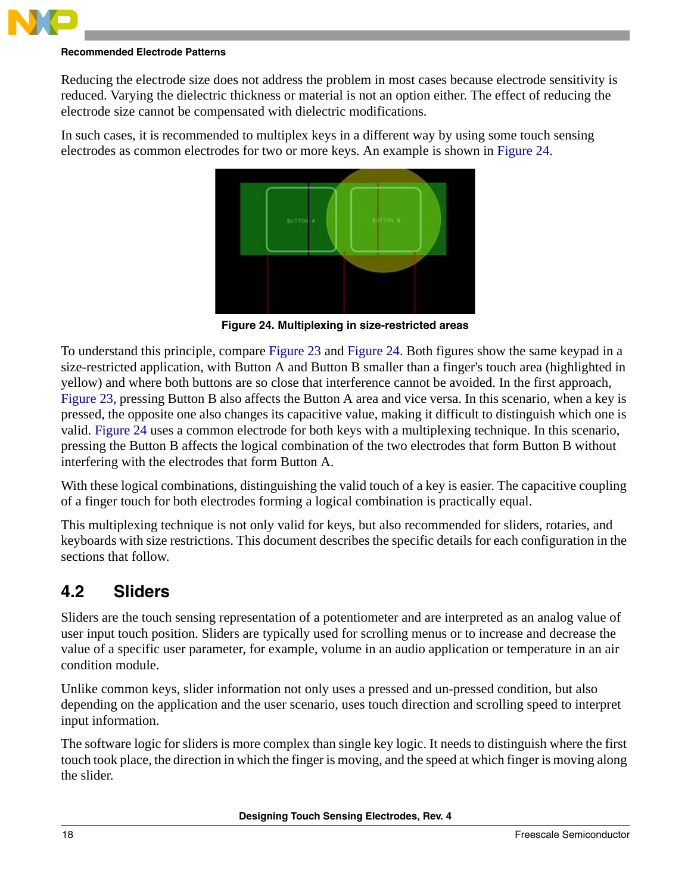![](_page_17_Picture_0.jpeg)

Reducing the electrode size does not address the problem in most cases because electrode sensitivity is reduced. Varying the dielectric thickness or material is not an option either. The effect of reducing the electrode size cannot be compensated with dielectric modifications.

In such cases, it is recommended to multiplex keys in a different way by using some touch sensing electrodes as common electrodes for two or more keys. An example is shown in [Figure 24](#page-17-1).

![](_page_17_Picture_4.jpeg)

**Figure 24. Multiplexing in size-restricted areas**

<span id="page-17-1"></span>To understand this principle, compare [Figure 23](#page-16-2) and [Figure 24](#page-17-1). Both figures show the same keypad in a size-restricted application, with Button A and Button B smaller than a finger's touch area (highlighted in yellow) and where both buttons are so close that interference cannot be avoided. In the first approach, [Figure 23](#page-16-2), pressing Button B also affects the Button A area and vice versa. In this scenario, when a key is pressed, the opposite one also changes its capacitive value, making it difficult to distinguish which one is valid. [Figure 24](#page-17-1) uses a common electrode for both keys with a multiplexing technique. In this scenario, pressing the Button B affects the logical combination of the two electrodes that form Button B without interfering with the electrodes that form Button A.

With these logical combinations, distinguishing the valid touch of a key is easier. The capacitive coupling of a finger touch for both electrodes forming a logical combination is practically equal.

This multiplexing technique is not only valid for keys, but also recommended for sliders, rotaries, and keyboards with size restrictions. This document describes the specific details for each configuration in the sections that follow.

## <span id="page-17-0"></span>**4.2 Sliders**

Sliders are the touch sensing representation of a potentiometer and are interpreted as an analog value of user input touch position. Sliders are typically used for scrolling menus or to increase and decrease the value of a specific user parameter, for example, volume in an audio application or temperature in an air condition module.

Unlike common keys, slider information not only uses a pressed and un-pressed condition, but also depending on the application and the user scenario, uses touch direction and scrolling speed to interpret input information.

The software logic for sliders is more complex than single key logic. It needs to distinguish where the first touch took place, the direction in which the finger is moving, and the speed at which finger is moving along the slider.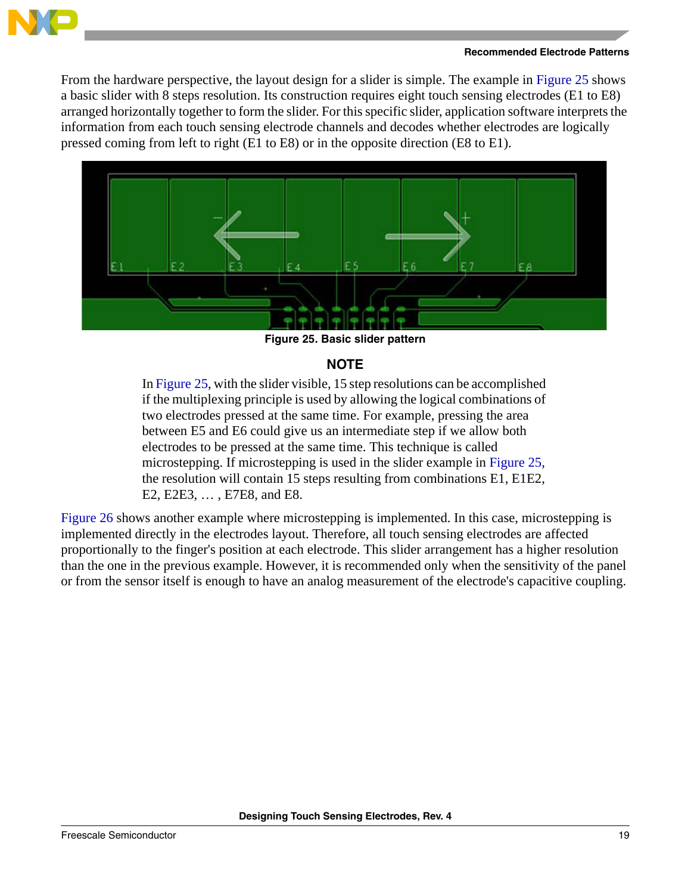![](_page_18_Picture_0.jpeg)

From the hardware perspective, the layout design for a slider is simple. The example in [Figure 25](#page-18-0) shows a basic slider with 8 steps resolution. Its construction requires eight touch sensing electrodes (E1 to E8) arranged horizontally together to form the slider. For this specific slider, application software interprets the information from each touch sensing electrode channels and decodes whether electrodes are logically pressed coming from left to right (E1 to E8) or in the opposite direction (E8 to E1).

![](_page_18_Picture_3.jpeg)

**Figure 25. Basic slider pattern**

### **NOTE**

<span id="page-18-0"></span>In [Figure 25](#page-18-0), with the slider visible, 15 step resolutions can be accomplished if the multiplexing principle is used by allowing the logical combinations of two electrodes pressed at the same time. For example, pressing the area between E5 and E6 could give us an intermediate step if we allow both electrodes to be pressed at the same time. This technique is called microstepping. If microstepping is used in the slider example in [Figure 25](#page-18-0), the resolution will contain 15 steps resulting from combinations E1, E1E2, E2, E2E3, … , E7E8, and E8.

[Figure 26](#page-19-1) shows another example where microstepping is implemented. In this case, microstepping is implemented directly in the electrodes layout. Therefore, all touch sensing electrodes are affected proportionally to the finger's position at each electrode. This slider arrangement has a higher resolution than the one in the previous example. However, it is recommended only when the sensitivity of the panel or from the sensor itself is enough to have an analog measurement of the electrode's capacitive coupling.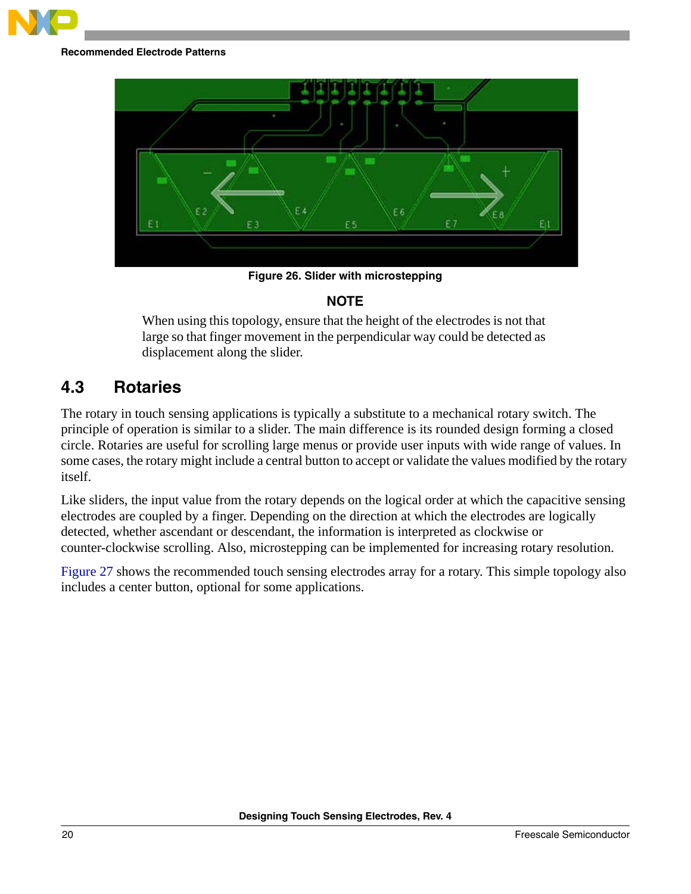![](_page_19_Picture_0.jpeg)

![](_page_19_Figure_2.jpeg)

**Figure 26. Slider with microstepping**

### **NOTE**

<span id="page-19-1"></span>When using this topology, ensure that the height of the electrodes is not that large so that finger movement in the perpendicular way could be detected as displacement along the slider.

## <span id="page-19-0"></span>**4.3 Rotaries**

The rotary in touch sensing applications is typically a substitute to a mechanical rotary switch. The principle of operation is similar to a slider. The main difference is its rounded design forming a closed circle. Rotaries are useful for scrolling large menus or provide user inputs with wide range of values. In some cases, the rotary might include a central button to accept or validate the values modified by the rotary itself.

Like sliders, the input value from the rotary depends on the logical order at which the capacitive sensing electrodes are coupled by a finger. Depending on the direction at which the electrodes are logically detected, whether ascendant or descendant, the information is interpreted as clockwise or counter-clockwise scrolling. Also, microstepping can be implemented for increasing rotary resolution.

[Figure 27](#page-20-2) shows the recommended touch sensing electrodes array for a rotary. This simple topology also includes a center button, optional for some applications.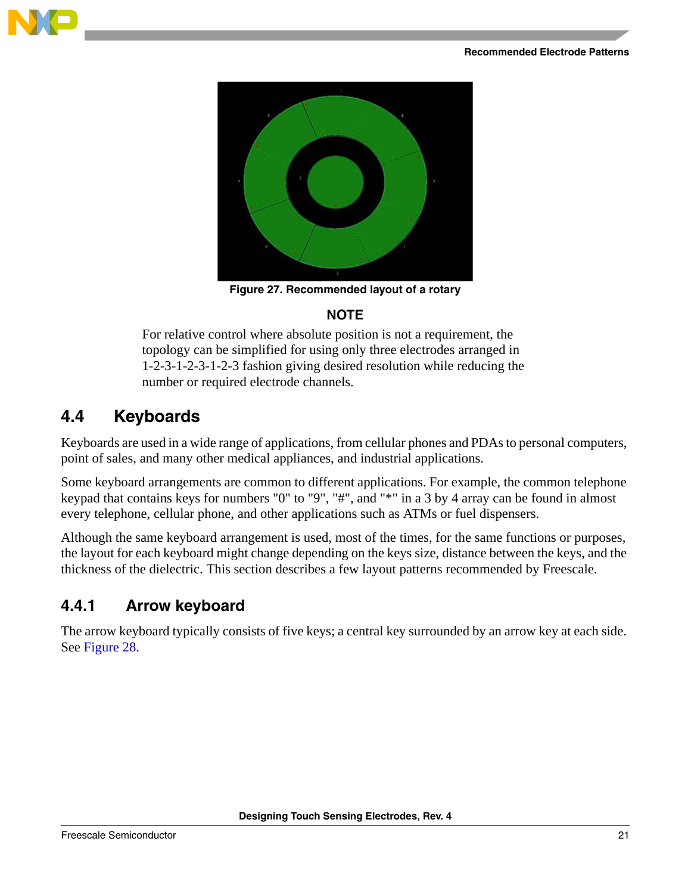![](_page_20_Picture_1.jpeg)

![](_page_20_Picture_2.jpeg)

**Figure 27. Recommended layout of a rotary**

## **NOTE**

<span id="page-20-2"></span>For relative control where absolute position is not a requirement, the topology can be simplified for using only three electrodes arranged in 1-2-3-1-2-3-1-2-3 fashion giving desired resolution while reducing the number or required electrode channels.

## <span id="page-20-0"></span>**4.4 Keyboards**

Keyboards are used in a wide range of applications, from cellular phones and PDAs to personal computers, point of sales, and many other medical appliances, and industrial applications.

Some keyboard arrangements are common to different applications. For example, the common telephone keypad that contains keys for numbers "0" to "9", "#", and "\*" in a 3 by 4 array can be found in almost every telephone, cellular phone, and other applications such as ATMs or fuel dispensers.

Although the same keyboard arrangement is used, most of the times, for the same functions or purposes, the layout for each keyboard might change depending on the keys size, distance between the keys, and the thickness of the dielectric. This section describes a few layout patterns recommended by Freescale.

## <span id="page-20-1"></span>**4.4.1 Arrow keyboard**

The arrow keyboard typically consists of five keys; a central key surrounded by an arrow key at each side. See [Figure 28.](#page-21-1)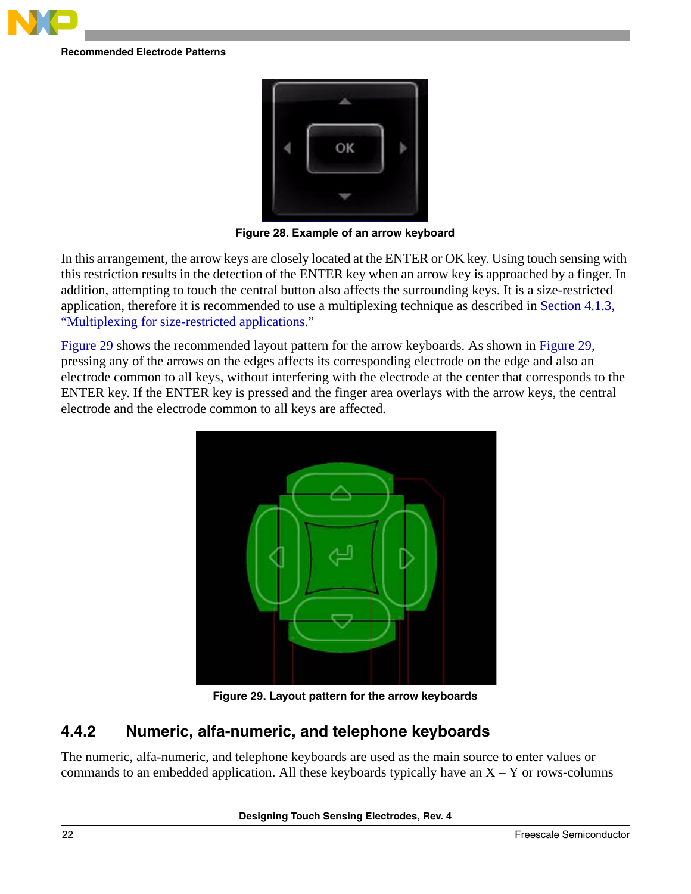![](_page_21_Picture_0.jpeg)

![](_page_21_Picture_2.jpeg)

**Figure 28. Example of an arrow keyboard**

<span id="page-21-1"></span>In this arrangement, the arrow keys are closely located at the ENTER or OK key. Using touch sensing with this restriction results in the detection of the ENTER key when an arrow key is approached by a finger. In addition, attempting to touch the central button also affects the surrounding keys. It is a size-restricted application, therefore it is recommended to use a multiplexing technique as described in [Section 4.1.3,](#page-16-0)  ["Multiplexing for size-restricted applications](#page-16-0)."

[Figure 29](#page-21-2) shows the recommended layout pattern for the arrow keyboards. As shown in [Figure 29](#page-21-2), pressing any of the arrows on the edges affects its corresponding electrode on the edge and also an electrode common to all keys, without interfering with the electrode at the center that corresponds to the ENTER key. If the ENTER key is pressed and the finger area overlays with the arrow keys, the central electrode and the electrode common to all keys are affected.

![](_page_21_Picture_6.jpeg)

**Figure 29. Layout pattern for the arrow keyboards**

## <span id="page-21-2"></span><span id="page-21-0"></span>**4.4.2 Numeric, alfa-numeric, and telephone keyboards**

The numeric, alfa-numeric, and telephone keyboards are used as the main source to enter values or commands to an embedded application. All these keyboards typically have an  $X - Y$  or rows-columns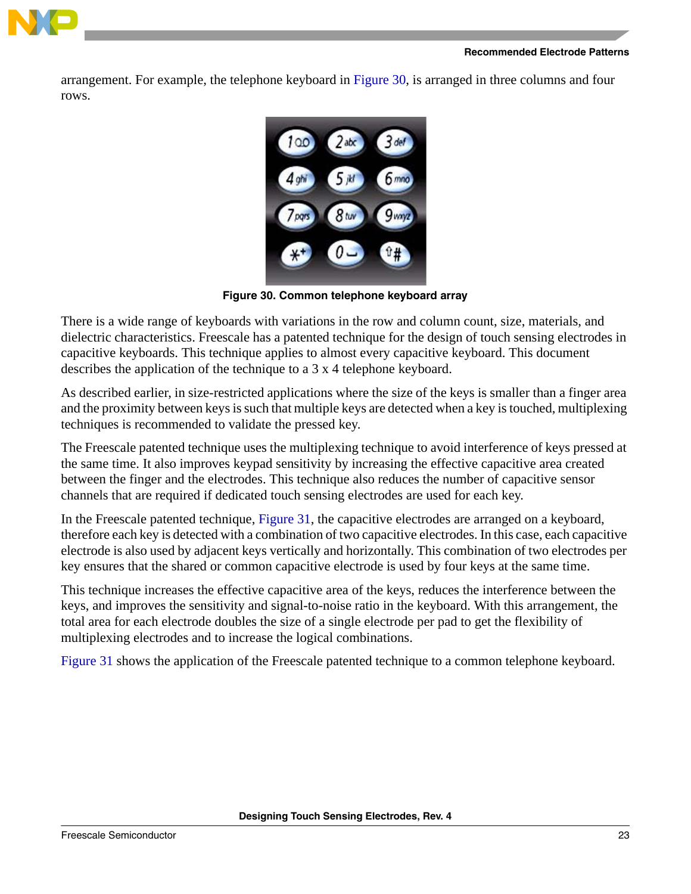![](_page_22_Picture_0.jpeg)

arrangement. For example, the telephone keyboard in [Figure 30,](#page-22-0) is arranged in three columns and four rows.

![](_page_22_Figure_3.jpeg)

**Figure 30. Common telephone keyboard array**

<span id="page-22-0"></span>There is a wide range of keyboards with variations in the row and column count, size, materials, and dielectric characteristics. Freescale has a patented technique for the design of touch sensing electrodes in capacitive keyboards. This technique applies to almost every capacitive keyboard. This document describes the application of the technique to a 3 x 4 telephone keyboard.

As described earlier, in size-restricted applications where the size of the keys is smaller than a finger area and the proximity between keys is such that multiple keys are detected when a key is touched, multiplexing techniques is recommended to validate the pressed key.

The Freescale patented technique uses the multiplexing technique to avoid interference of keys pressed at the same time. It also improves keypad sensitivity by increasing the effective capacitive area created between the finger and the electrodes. This technique also reduces the number of capacitive sensor channels that are required if dedicated touch sensing electrodes are used for each key.

In the Freescale patented technique, [Figure 31,](#page-23-0) the capacitive electrodes are arranged on a keyboard, therefore each key is detected with a combination of two capacitive electrodes. In this case, each capacitive electrode is also used by adjacent keys vertically and horizontally. This combination of two electrodes per key ensures that the shared or common capacitive electrode is used by four keys at the same time.

This technique increases the effective capacitive area of the keys, reduces the interference between the keys, and improves the sensitivity and signal-to-noise ratio in the keyboard. With this arrangement, the total area for each electrode doubles the size of a single electrode per pad to get the flexibility of multiplexing electrodes and to increase the logical combinations.

[Figure 31](#page-23-0) shows the application of the Freescale patented technique to a common telephone keyboard.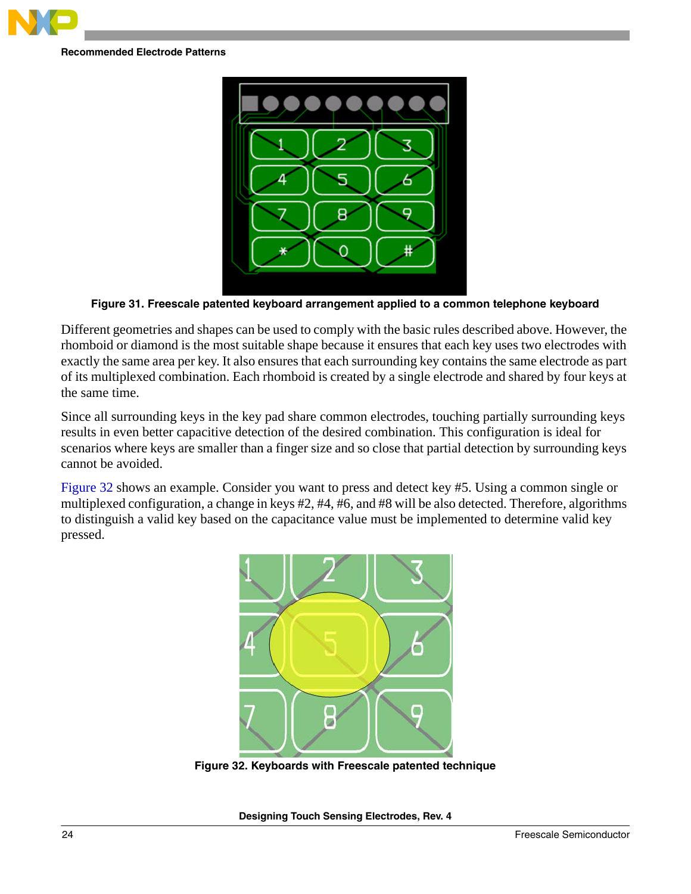![](_page_23_Picture_0.jpeg)

![](_page_23_Picture_2.jpeg)

**Figure 31. Freescale patented keyboard arrangement applied to a common telephone keyboard**

<span id="page-23-0"></span>Different geometries and shapes can be used to comply with the basic rules described above. However, the rhomboid or diamond is the most suitable shape because it ensures that each key uses two electrodes with exactly the same area per key. It also ensures that each surrounding key contains the same electrode as part of its multiplexed combination. Each rhomboid is created by a single electrode and shared by four keys at the same time.

Since all surrounding keys in the key pad share common electrodes, touching partially surrounding keys results in even better capacitive detection of the desired combination. This configuration is ideal for scenarios where keys are smaller than a finger size and so close that partial detection by surrounding keys cannot be avoided.

[Figure 32](#page-23-1) shows an example. Consider you want to press and detect key #5. Using a common single or multiplexed configuration, a change in keys #2, #4, #6, and #8 will be also detected. Therefore, algorithms to distinguish a valid key based on the capacitance value must be implemented to determine valid key pressed.

<span id="page-23-1"></span>![](_page_23_Picture_7.jpeg)

**Figure 32. Keyboards with Freescale patented technique**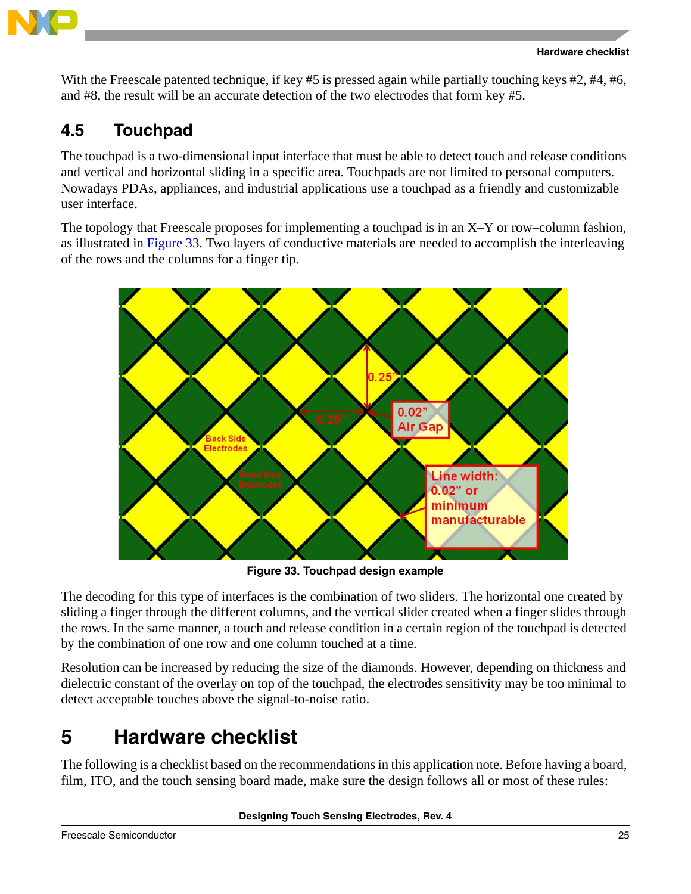![](_page_24_Picture_0.jpeg)

![](_page_24_Picture_1.jpeg)

With the Freescale patented technique, if key #5 is pressed again while partially touching keys #2, #4, #6, and #8, the result will be an accurate detection of the two electrodes that form key #5.

# <span id="page-24-0"></span>**4.5 Touchpad**

The touchpad is a two-dimensional input interface that must be able to detect touch and release conditions and vertical and horizontal sliding in a specific area. Touchpads are not limited to personal computers. Nowadays PDAs, appliances, and industrial applications use a touchpad as a friendly and customizable user interface.

The topology that Freescale proposes for implementing a touchpad is in an X–Y or row–column fashion, as illustrated in [Figure 33.](#page-24-2) Two layers of conductive materials are needed to accomplish the interleaving of the rows and the columns for a finger tip.

![](_page_24_Figure_6.jpeg)

**Figure 33. Touchpad design example**

<span id="page-24-2"></span>The decoding for this type of interfaces is the combination of two sliders. The horizontal one created by sliding a finger through the different columns, and the vertical slider created when a finger slides through the rows. In the same manner, a touch and release condition in a certain region of the touchpad is detected by the combination of one row and one column touched at a time.

Resolution can be increased by reducing the size of the diamonds. However, depending on thickness and dielectric constant of the overlay on top of the touchpad, the electrodes sensitivity may be too minimal to detect acceptable touches above the signal-to-noise ratio.

# <span id="page-24-1"></span>**5 Hardware checklist**

The following is a checklist based on the recommendations in this application note. Before having a board, film, ITO, and the touch sensing board made, make sure the design follows all or most of these rules: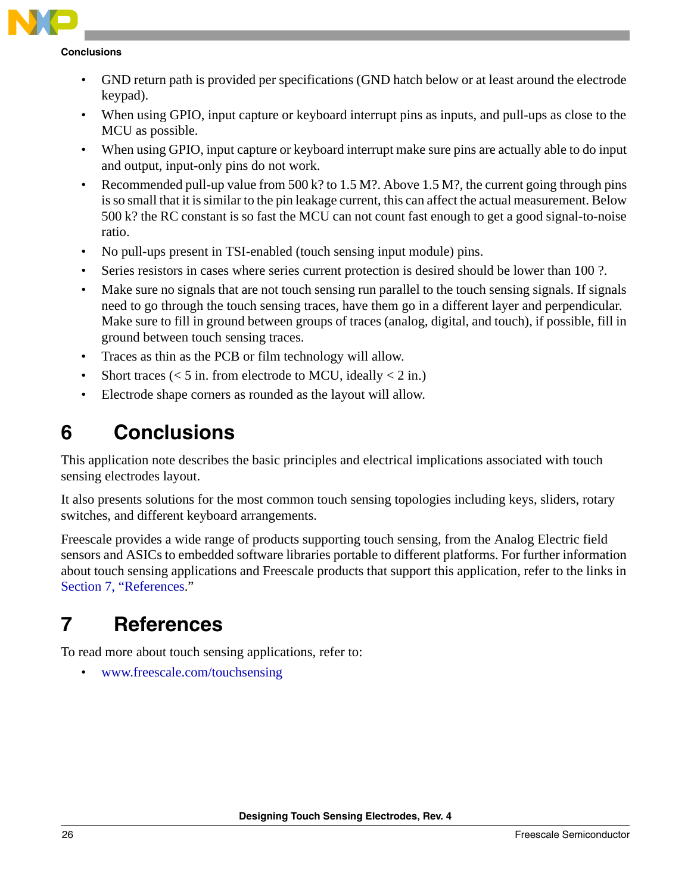**Conclusions**

- GND return path is provided per specifications (GND hatch below or at least around the electrode keypad).
- When using GPIO, input capture or keyboard interrupt pins as inputs, and pull-ups as close to the MCU as possible.
- When using GPIO, input capture or keyboard interrupt make sure pins are actually able to do input and output, input-only pins do not work.
- Recommended pull-up value from  $500 \text{ k}$ ? to  $1.5 \text{ M}$ ?. Above  $1.5 \text{ M}$ ?, the current going through pins is so small that it is similar to the pin leakage current, this can affect the actual measurement. Below 500 k? the RC constant is so fast the MCU can not count fast enough to get a good signal-to-noise ratio.
- No pull-ups present in TSI-enabled (touch sensing input module) pins.
- Series resistors in cases where series current protection is desired should be lower than 100 ?.
- Make sure no signals that are not touch sensing run parallel to the touch sensing signals. If signals need to go through the touch sensing traces, have them go in a different layer and perpendicular. Make sure to fill in ground between groups of traces (analog, digital, and touch), if possible, fill in ground between touch sensing traces.
- Traces as thin as the PCB or film technology will allow.
- Short traces ( $<$  5 in. from electrode to MCU, ideally  $<$  2 in.)
- Electrode shape corners as rounded as the layout will allow.

# <span id="page-25-0"></span>**6 Conclusions**

This application note describes the basic principles and electrical implications associated with touch sensing electrodes layout.

It also presents solutions for the most common touch sensing topologies including keys, sliders, rotary switches, and different keyboard arrangements.

Freescale provides a wide range of products supporting touch sensing, from the Analog Electric field sensors and ASICs to embedded software libraries portable to different platforms. For further information about touch sensing applications and Freescale products that support this application, refer to the links in [Section 7, "References.](#page-25-1)"

# <span id="page-25-1"></span>**7 References**

To read more about touch sensing applications, refer to:

• [www.freescale.com/touchsensing](http://www.freescale.com/webapp/sps/site/taxonomy.jsp?code=SNSPROXIMITY&tid=vantouchsensing)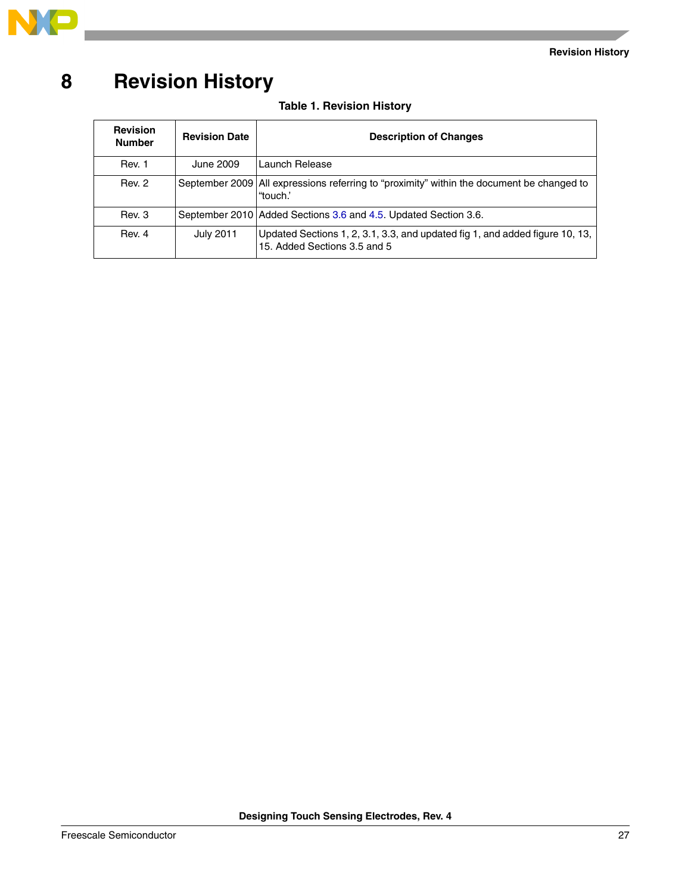![](_page_26_Picture_0.jpeg)

# <span id="page-26-0"></span>**8 Revision History**

 $\overline{\phantom{a}}$ 

### **Table 1. Revision History**

| <b>Revision</b><br><b>Number</b> | <b>Revision Date</b> | <b>Description of Changes</b>                                                                                |
|----------------------------------|----------------------|--------------------------------------------------------------------------------------------------------------|
| Rev. 1                           | June 2009            | Launch Release                                                                                               |
| Rev. 2                           |                      | September 2009 All expressions referring to "proximity" within the document be changed to<br>"touch."        |
| Rev. 3                           |                      | September 2010 Added Sections 3.6 and 4.5. Updated Section 3.6.                                              |
| Rev. 4                           | <b>July 2011</b>     | Updated Sections 1, 2, 3.1, 3.3, and updated fig 1, and added figure 10, 13,<br>15. Added Sections 3.5 and 5 |